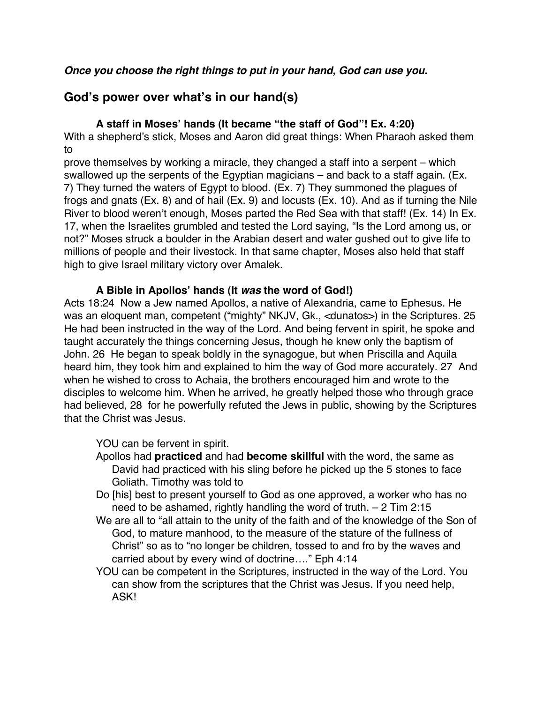### *Once you choose the right things to put in your hand, God can use you.*

# **God's power over what's in our hand(s)**

## **A staff in Moses' hands (It became "the staff of God"! Ex. 4:20)**

With a shepherd's stick, Moses and Aaron did great things: When Pharaoh asked them to

prove themselves by working a miracle, they changed a staff into a serpent – which swallowed up the serpents of the Egyptian magicians – and back to a staff again. (Ex. 7) They turned the waters of Egypt to blood. (Ex. 7) They summoned the plagues of frogs and gnats (Ex. 8) and of hail (Ex. 9) and locusts (Ex. 10). And as if turning the Nile River to blood weren't enough, Moses parted the Red Sea with that staff! (Ex. 14) In Ex. 17, when the Israelites grumbled and tested the Lord saying, "Is the Lord among us, or not?" Moses struck a boulder in the Arabian desert and water gushed out to give life to millions of people and their livestock. In that same chapter, Moses also held that staff high to give Israel military victory over Amalek.

### **A Bible in Apollos' hands (It** *was* **the word of God!)**

Acts 18:24 Now a Jew named Apollos, a native of Alexandria, came to Ephesus. He was an eloquent man, competent ("mighty" NKJV, Gk., <dunatos>) in the Scriptures. 25 He had been instructed in the way of the Lord. And being fervent in spirit, he spoke and taught accurately the things concerning Jesus, though he knew only the baptism of John. 26 He began to speak boldly in the synagogue, but when Priscilla and Aquila heard him, they took him and explained to him the way of God more accurately. 27 And when he wished to cross to Achaia, the brothers encouraged him and wrote to the disciples to welcome him. When he arrived, he greatly helped those who through grace had believed, 28 for he powerfully refuted the Jews in public, showing by the Scriptures that the Christ was Jesus.

### YOU can be fervent in spirit.

- Apollos had **practiced** and had **become skillful** with the word, the same as David had practiced with his sling before he picked up the 5 stones to face Goliath. Timothy was told to
- Do [his] best to present yourself to God as one approved, a worker who has no need to be ashamed, rightly handling the word of truth. – 2 Tim 2:15
- We are all to "all attain to the unity of the faith and of the knowledge of the Son of God, to mature manhood, to the measure of the stature of the fullness of Christ" so as to "no longer be children, tossed to and fro by the waves and carried about by every wind of doctrine…." Eph 4:14
- YOU can be competent in the Scriptures, instructed in the way of the Lord. You can show from the scriptures that the Christ was Jesus. If you need help, ASK!